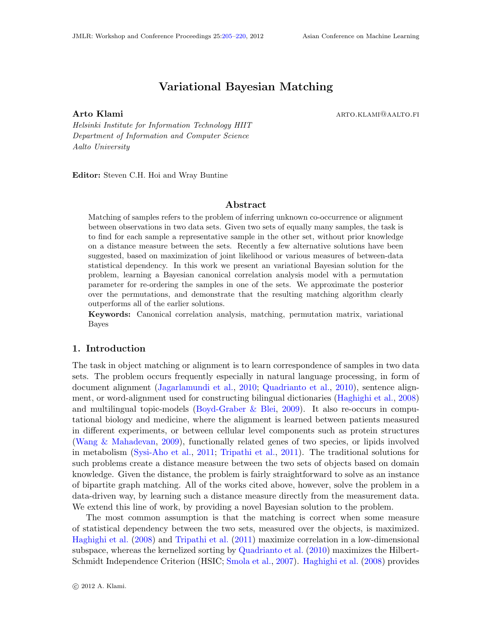# Variational Bayesian Matching

<span id="page-0-0"></span>Arto Klami arto.klami arto.klami arto.klami arto.klami arto.klami arto.klami arto.klami arto.klami arto.kl

Helsinki Institute for Information Technology HIIT Department of Information and Computer Science Aalto University

Editor: Steven C.H. Hoi and Wray Buntine

#### Abstract

Matching of samples refers to the problem of inferring unknown co-occurrence or alignment between observations in two data sets. Given two sets of equally many samples, the task is to find for each sample a representative sample in the other set, without prior knowledge on a distance measure between the sets. Recently a few alternative solutions have been suggested, based on maximization of joint likelihood or various measures of between-data statistical dependency. In this work we present an variational Bayesian solution for the problem, learning a Bayesian canonical correlation analysis model with a permutation parameter for re-ordering the samples in one of the sets. We approximate the posterior over the permutations, and demonstrate that the resulting matching algorithm clearly outperforms all of the earlier solutions.

Keywords: Canonical correlation analysis, matching, permutation matrix, variational Bayes

## 1. Introduction

The task in object matching or alignment is to learn correspondence of samples in two data sets. The problem occurs frequently especially in natural language processing, in form of document alignment [\(Jagarlamundi et al.,](#page-15-1) [2010;](#page-15-1) [Quadrianto et al.,](#page-15-2) [2010\)](#page-15-2), sentence alignment, or word-alignment used for constructing bilingual dictionaries [\(Haghighi et al.,](#page-14-0) [2008\)](#page-14-0) and multilingual topic-models (Boyd-Graber  $\&$  Blei, [2009\)](#page-14-1). It also re-occurs in computational biology and medicine, where the alignment is learned between patients measured in different experiments, or between cellular level components such as protein structures [\(Wang & Mahadevan,](#page-15-3) [2009\)](#page-15-3), functionally related genes of two species, or lipids involved in metabolism [\(Sysi-Aho et al.,](#page-15-4) [2011;](#page-15-4) [Tripathi et al.,](#page-15-5) [2011\)](#page-15-5). The traditional solutions for such problems create a distance measure between the two sets of objects based on domain knowledge. Given the distance, the problem is fairly straightforward to solve as an instance of bipartite graph matching. All of the works cited above, however, solve the problem in a data-driven way, by learning such a distance measure directly from the measurement data. We extend this line of work, by providing a novel Bayesian solution to the problem.

The most common assumption is that the matching is correct when some measure of statistical dependency between the two sets, measured over the objects, is maximized. [Haghighi et al.](#page-14-0) [\(2008\)](#page-14-0) and [Tripathi et al.](#page-15-5) [\(2011\)](#page-15-5) maximize correlation in a low-dimensional subspace, whereas the kernelized sorting by [Quadrianto et al.](#page-15-2) [\(2010\)](#page-15-2) maximizes the Hilbert-Schmidt Independence Criterion (HSIC; [Smola et al.,](#page-15-6) [2007\)](#page-15-6). [Haghighi et al.](#page-14-0) [\(2008\)](#page-14-0) provides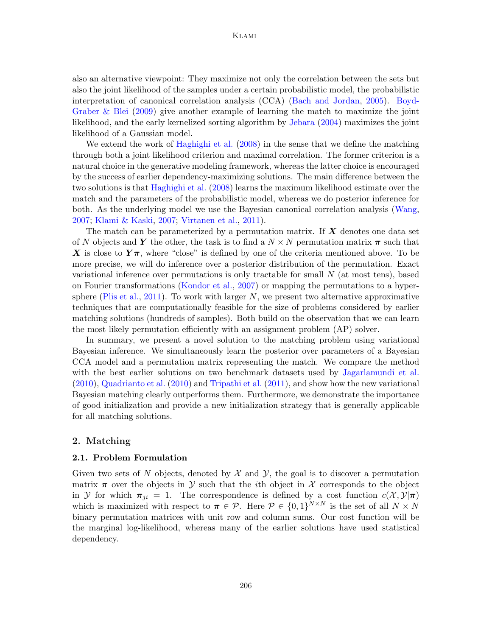also an alternative viewpoint: They maximize not only the correlation between the sets but also the joint likelihood of the samples under a certain probabilistic model, the probabilistic interpretation of canonical correlation analysis (CCA) [\(Bach and Jordan,](#page-14-2) [2005\)](#page-14-2). [Boyd-](#page-14-1)[Graber & Blei](#page-14-1)  $(2009)$  give another example of learning the match to maximize the joint likelihood, and the early kernelized sorting algorithm by [Jebara](#page-15-7) [\(2004\)](#page-15-7) maximizes the joint likelihood of a Gaussian model.

We extend the work of [Haghighi et al.](#page-14-0) [\(2008\)](#page-14-0) in the sense that we define the matching through both a joint likelihood criterion and maximal correlation. The former criterion is a natural choice in the generative modeling framework, whereas the latter choice is encouraged by the success of earlier dependency-maximizing solutions. The main difference between the two solutions is that [Haghighi et al.](#page-14-0) [\(2008\)](#page-14-0) learns the maximum likelihood estimate over the match and the parameters of the probabilistic model, whereas we do posterior inference for both. As the underlying model we use the Bayesian canonical correlation analysis [\(Wang,](#page-15-8) [2007;](#page-15-8) [Klami & Kaski,](#page-15-9) [2007;](#page-15-9) [Virtanen et al.,](#page-15-10) [2011\)](#page-15-10).

The match can be parameterized by a permutation matrix. If  $X$  denotes one data set of N objects and Y the other, the task is to find a  $N \times N$  permutation matrix  $\pi$  such that X is close to  $Y\pi$ , where "close" is defined by one of the criteria mentioned above. To be more precise, we will do inference over a posterior distribution of the permutation. Exact variational inference over permutations is only tractable for small  $N$  (at most tens), based on Fourier transformations [\(Kondor et al.,](#page-15-11) [2007\)](#page-15-11) or mapping the permutations to a hyper-sphere [\(Plis et al.,](#page-15-12) [2011\)](#page-15-12). To work with larger  $N$ , we present two alternative approximative techniques that are computationally feasible for the size of problems considered by earlier matching solutions (hundreds of samples). Both build on the observation that we can learn the most likely permutation efficiently with an assignment problem (AP) solver.

In summary, we present a novel solution to the matching problem using variational Bayesian inference. We simultaneously learn the posterior over parameters of a Bayesian CCA model and a permutation matrix representing the match. We compare the method with the best earlier solutions on two benchmark datasets used by [Jagarlamundi et al.](#page-15-1) [\(2010\)](#page-15-1), [Quadrianto et al.](#page-15-2) [\(2010\)](#page-15-2) and [Tripathi et al.](#page-15-5) [\(2011\)](#page-15-5), and show how the new variational Bayesian matching clearly outperforms them. Furthermore, we demonstrate the importance of good initialization and provide a new initialization strategy that is generally applicable for all matching solutions.

# 2. Matching

#### 2.1. Problem Formulation

Given two sets of N objects, denoted by  $\mathcal X$  and  $\mathcal Y$ , the goal is to discover a permutation matrix  $\pi$  over the objects in Y such that the *i*th object in X corresponds to the object in Y for which  $\pi_{ji} = 1$ . The correspondence is defined by a cost function  $c(\mathcal{X}, \mathcal{Y}|\pi)$ which is maximized with respect to  $\pi \in \mathcal{P}$ . Here  $\mathcal{P} \in \{0,1\}^{N \times N}$  is the set of all  $N \times N$ binary permutation matrices with unit row and column sums. Our cost function will be the marginal log-likelihood, whereas many of the earlier solutions have used statistical dependency.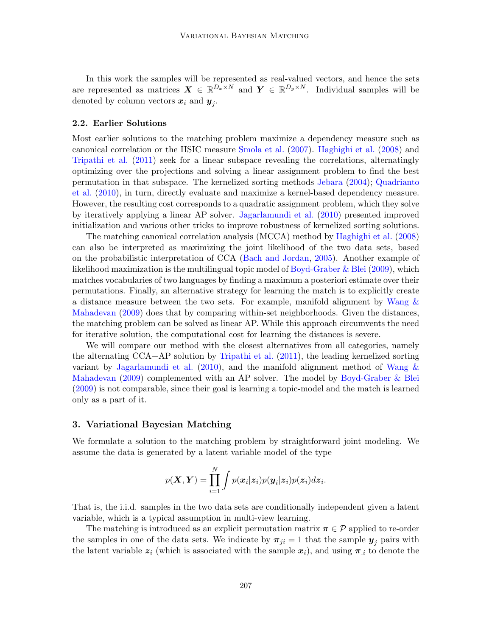In this work the samples will be represented as real-valued vectors, and hence the sets are represented as matrices  $\boldsymbol{X} \in \mathbb{R}^{D_x \times N}$  and  $\boldsymbol{Y} \in \mathbb{R}^{D_y \times N}$ . Individual samples will be denoted by column vectors  $x_i$  and  $y_j$ .

#### 2.2. Earlier Solutions

Most earlier solutions to the matching problem maximize a dependency measure such as canonical correlation or the HSIC measure [Smola et al.](#page-15-6) [\(2007\)](#page-15-6). [Haghighi et al.](#page-14-0) [\(2008\)](#page-14-0) and [Tripathi et al.](#page-15-5) [\(2011\)](#page-15-5) seek for a linear subspace revealing the correlations, alternatingly optimizing over the projections and solving a linear assignment problem to find the best permutation in that subspace. The kernelized sorting methods [Jebara](#page-15-7) [\(2004\)](#page-15-7); [Quadrianto](#page-15-2) [et al.](#page-15-2) [\(2010\)](#page-15-2), in turn, directly evaluate and maximize a kernel-based dependency measure. However, the resulting cost corresponds to a quadratic assignment problem, which they solve by iteratively applying a linear AP solver. [Jagarlamundi et al.](#page-15-1) [\(2010\)](#page-15-1) presented improved initialization and various other tricks to improve robustness of kernelized sorting solutions.

The matching canonical correlation analysis (MCCA) method by [Haghighi et al.](#page-14-0) [\(2008\)](#page-14-0) can also be interpreted as maximizing the joint likelihood of the two data sets, based on the probabilistic interpretation of CCA [\(Bach and Jordan,](#page-14-2) [2005\)](#page-14-2). Another example of likelihood maximization is the multilingual topic model of [Boyd-Graber & Blei](#page-14-1) [\(2009\)](#page-14-1), which matches vocabularies of two languages by finding a maximum a posteriori estimate over their permutations. Finally, an alternative strategy for learning the match is to explicitly create a distance measure between the two sets. For example, manifold alignment by Wang  $\&$ [Mahadevan](#page-15-3) [\(2009\)](#page-15-3) does that by comparing within-set neighborhoods. Given the distances, the matching problem can be solved as linear AP. While this approach circumvents the need for iterative solution, the computational cost for learning the distances is severe.

We will compare our method with the closest alternatives from all categories, namely the alternating CCA+AP solution by [Tripathi et al.](#page-15-5) [\(2011\)](#page-15-5), the leading kernelized sorting variant by [Jagarlamundi et al.](#page-15-1)  $(2010)$ , and the manifold alignment method of [Wang &](#page-15-3) [Mahadevan](#page-15-3) [\(2009\)](#page-15-3) complemented with an AP solver. The model by [Boyd-Graber & Blei](#page-14-1) [\(2009\)](#page-14-1) is not comparable, since their goal is learning a topic-model and the match is learned only as a part of it.

# 3. Variational Bayesian Matching

We formulate a solution to the matching problem by straightforward joint modeling. We assume the data is generated by a latent variable model of the type

$$
p(\boldsymbol{X}, \boldsymbol{Y}) = \prod_{i=1}^N \int p(\boldsymbol{x}_i | \boldsymbol{z}_i) p(\boldsymbol{y}_i | \boldsymbol{z}_i) p(\boldsymbol{z}_i) d \boldsymbol{z}_i.
$$

That is, the i.i.d. samples in the two data sets are conditionally independent given a latent variable, which is a typical assumption in multi-view learning.

The matching is introduced as an explicit permutation matrix  $\pi \in \mathcal{P}$  applied to re-order the samples in one of the data sets. We indicate by  $\pi_{ji} = 1$  that the sample  $y_j$  pairs with the latent variable  $z_i$  (which is associated with the sample  $x_i$ ), and using  $\pi_{i}$  to denote the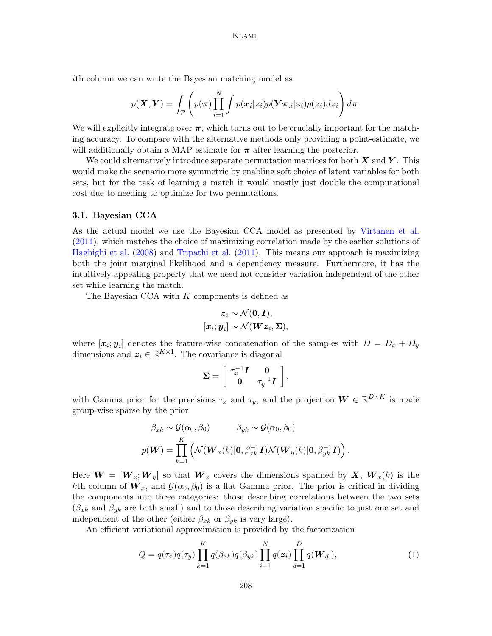ith column we can write the Bayesian matching model as

$$
p(\boldsymbol{X}, \boldsymbol{Y}) = \int_{\mathcal{P}} \left( p(\boldsymbol{\pi}) \prod_{i=1}^{N} \int p(\boldsymbol{x}_i | \boldsymbol{z}_i) p(\boldsymbol{Y} \boldsymbol{\pi}_{\cdot i} | \boldsymbol{z}_i) p(\boldsymbol{z}_i) d \boldsymbol{z}_i \right) d \boldsymbol{\pi}.
$$

We will explicitly integrate over  $\pi$ , which turns out to be crucially important for the matching accuracy. To compare with the alternative methods only providing a point-estimate, we will additionally obtain a MAP estimate for  $\pi$  after learning the posterior.

We could alternatively introduce separate permutation matrices for both  $X$  and  $Y$ . This would make the scenario more symmetric by enabling soft choice of latent variables for both sets, but for the task of learning a match it would mostly just double the computational cost due to needing to optimize for two permutations.

#### 3.1. Bayesian CCA

As the actual model we use the Bayesian CCA model as presented by [Virtanen et al.](#page-15-10) [\(2011\)](#page-15-10), which matches the choice of maximizing correlation made by the earlier solutions of [Haghighi et al.](#page-14-0) [\(2008\)](#page-14-0) and [Tripathi et al.](#page-15-5) [\(2011\)](#page-15-5). This means our approach is maximizing both the joint marginal likelihood and a dependency measure. Furthermore, it has the intuitively appealing property that we need not consider variation independent of the other set while learning the match.

The Bayesian CCA with  $K$  components is defined as

$$
\begin{aligned} \boldsymbol{z}_i &\sim \mathcal{N}(\boldsymbol{0}, \boldsymbol{I}), \\ \left[\boldsymbol{x}_i; \boldsymbol{y}_i\right] &\sim \mathcal{N}(\boldsymbol{W}\boldsymbol{z}_i, \boldsymbol{\Sigma}), \end{aligned}
$$

where  $[x_i; y_i]$  denotes the feature-wise concatenation of the samples with  $D = D_x + D_y$ dimensions and  $z_i \in \mathbb{R}^{K \times 1}$ . The covariance is diagonal

$$
\mathbf{\Sigma} = \left[ \begin{array}{cc} \tau_x^{-1} \boldsymbol{I} & \mathbf{0} \\ \mathbf{0} & \tau_y^{-1} \boldsymbol{I} \end{array} \right],
$$

with Gamma prior for the precisions  $\tau_x$  and  $\tau_y$ , and the projection  $\boldsymbol{W} \in \mathbb{R}^{D \times K}$  is made group-wise sparse by the prior

$$
\beta_{xk} \sim \mathcal{G}(\alpha_0, \beta_0) \qquad \beta_{yk} \sim \mathcal{G}(\alpha_0, \beta_0)
$$

$$
p(\boldsymbol{W}) = \prod_{k=1}^K \left( \mathcal{N}(\boldsymbol{W}_x(k)|\boldsymbol{0}, \beta_{xk}^{-1}\boldsymbol{I}) \mathcal{N}(\boldsymbol{W}_y(k)|\boldsymbol{0}, \beta_{yk}^{-1}\boldsymbol{I}) \right).
$$

Here  $\boldsymbol{W} = [\boldsymbol{W}_x; \boldsymbol{W}_y]$  so that  $\boldsymbol{W}_x$  covers the dimensions spanned by  $\boldsymbol{X}, \boldsymbol{W}_x(k)$  is the kth column of  $W_x$ , and  $\mathcal{G}(\alpha_0, \beta_0)$  is a flat Gamma prior. The prior is critical in dividing the components into three categories: those describing correlations between the two sets  $(\beta_{x_k}$  and  $\beta_{y_k}$  are both small) and to those describing variation specific to just one set and independent of the other (either  $\beta_{xk}$  or  $\beta_{yk}$  is very large).

An efficient variational approximation is provided by the factorization

<span id="page-3-0"></span>
$$
Q = q(\tau_x)q(\tau_y) \prod_{k=1}^K q(\beta_{xk})q(\beta_{yk}) \prod_{i=1}^N q(z_i) \prod_{d=1}^D q(\boldsymbol{W}_{d.}),
$$
\n(1)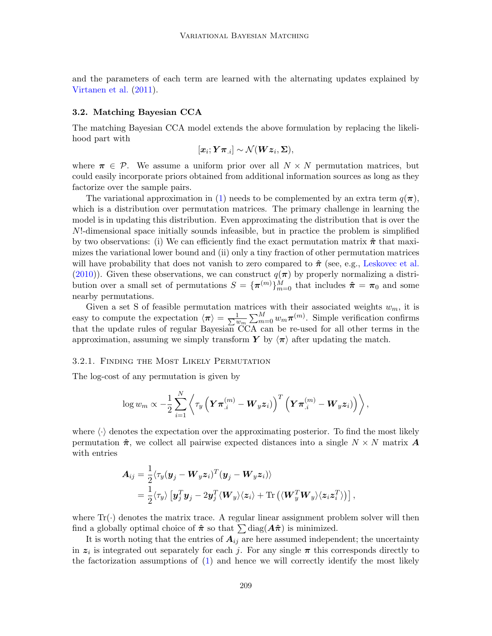and the parameters of each term are learned with the alternating updates explained by [Virtanen et al.](#page-15-10) [\(2011\)](#page-15-10).

#### 3.2. Matching Bayesian CCA

The matching Bayesian CCA model extends the above formulation by replacing the likelihood part with

$$
[\boldsymbol{x}_i;\boldsymbol{Y}\boldsymbol{\pi}_{.i}]\sim\mathcal{N}(\boldsymbol{W}\boldsymbol{z}_i,\boldsymbol{\Sigma}),
$$

where  $\pi \in \mathcal{P}$ . We assume a uniform prior over all  $N \times N$  permutation matrices, but could easily incorporate priors obtained from additional information sources as long as they factorize over the sample pairs.

The variational approximation in [\(1\)](#page-3-0) needs to be complemented by an extra term  $q(\pi)$ , which is a distribution over permutation matrices. The primary challenge in learning the model is in updating this distribution. Even approximating the distribution that is over the N!-dimensional space initially sounds infeasible, but in practice the problem is simplified by two observations: (i) We can efficiently find the exact permutation matrix  $\hat{\pi}$  that maximizes the variational lower bound and (ii) only a tiny fraction of other permutation matrices will have probability that does not vanish to zero compared to  $\hat{\pi}$  (see, e.g., [Leskovec et al.](#page-15-13) [\(2010\)](#page-15-13)). Given these observations, we can construct  $q(\pi)$  by properly normalizing a distribution over a small set of permutations  $S = {\pi^{(m)}}_{m=0}^{M}$  that includes  $\hat{\pi} = \pi_0$  and some nearby permutations.

Given a set S of feasible permutation matrices with their associated weights  $w_m$ , it is easy to compute the expectation  $\langle \pi \rangle = \frac{1}{\sum u}$  $\frac{1}{w_m} \sum_{m=0}^{M} w_m \pi^{(m)}$ . Simple verification confirms that the update rules of regular Bayesian CCA can be re-used for all other terms in the approximation, assuming we simply transform Y by  $\langle \pi \rangle$  after updating the match.

#### 3.2.1. Finding the Most Likely Permutation

The log-cost of any permutation is given by

$$
\log w_m \propto -\frac{1}{2}\sum_{i=1}^N \left\langle \tau_y\left(\boldsymbol{Y} \boldsymbol{\pi}_{.i}^{(m)} - \boldsymbol{W}_y \boldsymbol{z}_i)\right)^T \left(\boldsymbol{Y} \boldsymbol{\pi}_{.i}^{(m)} - \boldsymbol{W}_y \boldsymbol{z}_i)\right)\right\rangle,
$$

where  $\langle \cdot \rangle$  denotes the expectation over the approximating posterior. To find the most likely permutation  $\hat{\pi}$ , we collect all pairwise expected distances into a single  $N \times N$  matrix  $\hat{\mathbf{A}}$ with entries

<span id="page-4-0"></span>
$$
\begin{aligned} \boldsymbol{A}_{ij} &= \frac{1}{2} \langle \tau_y (\boldsymbol{y}_j - \boldsymbol{W}_y \boldsymbol{z}_i)^T (\boldsymbol{y}_j - \boldsymbol{W}_y \boldsymbol{z}_i) \rangle \\ &= \frac{1}{2} \langle \tau_y \rangle \left[ \boldsymbol{y}_j^T \boldsymbol{y}_j - 2 \boldsymbol{y}_j^T \langle \boldsymbol{W}_y \rangle \langle \boldsymbol{z}_i \rangle + \text{Tr} \left( \langle \boldsymbol{W}_y^T \boldsymbol{W}_y \rangle \langle \boldsymbol{z}_i \boldsymbol{z}_i^T \rangle \right) \right], \end{aligned}
$$

where  $Tr(\cdot)$  denotes the matrix trace. A regular linear assignment problem solver will then find a globally optimal choice of  $\hat{\pi}$  so that  $\sum \text{diag}(\mathbf{A}\hat{\pi})$  is minimized.

It is worth noting that the entries of  $A_{ij}$  are here assumed independent; the uncertainty in  $z_i$  is integrated out separately for each j. For any single  $\pi$  this corresponds directly to the factorization assumptions of [\(1\)](#page-3-0) and hence we will correctly identify the most likely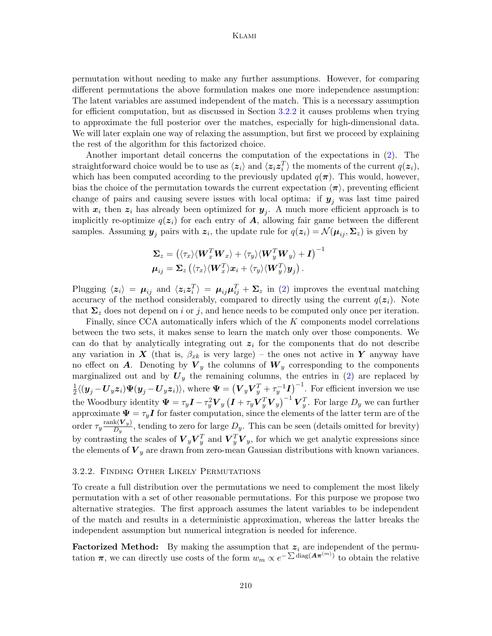permutation without needing to make any further assumptions. However, for comparing different permutations the above formulation makes one more independence assumption: The latent variables are assumed independent of the match. This is a necessary assumption for efficient computation, but as discussed in Section [3.2.2](#page-5-0) it causes problems when trying to approximate the full posterior over the matches, especially for high-dimensional data. We will later explain one way of relaxing the assumption, but first we proceed by explaining the rest of the algorithm for this factorized choice.

Another important detail concerns the computation of the expectations in [\(2\)](#page-4-0). The straightforward choice would be to use as  $\langle z_i \rangle$  and  $\langle z_i z_i^T \rangle$  the moments of the current  $q(z_i)$ , which has been computed according to the previously updated  $q(\pi)$ . This would, however, bias the choice of the permutation towards the current expectation  $\langle \pi \rangle$ , preventing efficient change of pairs and causing severe issues with local optima: if  $y_j$  was last time paired with  $x_i$  then  $z_i$  has already been optimized for  $y_j$ . A much more efficient approach is to implicitly re-optimize  $q(z_i)$  for each entry of  $A$ , allowing fair game between the different samples. Assuming  $y_j$  pairs with  $z_i$ , the update rule for  $q(z_i) = \mathcal{N}(\mu_{ij}, \Sigma_z)$  is given by

$$
\begin{aligned} \boldsymbol{\Sigma}_z &= \left(\langle \tau_x \rangle \langle \boldsymbol{W}_x^T \boldsymbol{W}_x \rangle + \langle \tau_y \rangle \langle \boldsymbol{W}_y^T \boldsymbol{W}_y \rangle + \boldsymbol{I} \right)^{-1} \\ \boldsymbol{\mu}_{ij} &= \boldsymbol{\Sigma}_z \left(\langle \tau_x \rangle \langle \boldsymbol{W}_x^T \rangle \boldsymbol{x}_i + \langle \tau_y \rangle \langle \boldsymbol{W}_y^T \rangle \boldsymbol{y}_j \right). \end{aligned}
$$

Plugging  $\langle z_i \rangle = \mu_{ij}$  and  $\langle z_i z_i^T \rangle = \mu_{ij} \mu_{ij}^T + \Sigma_z$  in [\(2\)](#page-4-0) improves the eventual matching accuracy of the method considerably, compared to directly using the current  $q(z<sub>i</sub>)$ . Note that  $\Sigma_z$  does not depend on i or j, and hence needs to be computed only once per iteration.

Finally, since CCA automatically infers which of the K components model correlations between the two sets, it makes sense to learn the match only over those components. We can do that by analytically integrating out  $z_i$  for the components that do not describe any variation in X (that is,  $\beta_{x_k}$  is very large) – the ones not active in Y anyway have no effect on **A**. Denoting by  $V_y$  the columns of  $W_y$  corresponding to the components marginalized out and by  $U_y$  the remaining columns, the entries in [\(2\)](#page-4-0) are replaced by 1  $\frac{1}{2}\langle(\bm{y}_j-\bm{U}_y\bm{z}_i)\bm{\Psi}(\bm{y}_j-\bm{U}_y\bm{z}_i)\rangle$ , where  $\bm{\Psi}=\left(\bm{V}_y\bm{V}_y^T+\tau_y^{-1}\bm{I}\right)^{-1}$ . For efficient inversion we use the Woodbury identity  $\Psi = \tau_y I - \tau_y^2 \boldsymbol{V}_y \left( \boldsymbol{I} + \tau_y \boldsymbol{V}_y^T \boldsymbol{V}_y \right)^{-1} \boldsymbol{V}_y^T$ . For large  $D_y$  we can further approximate  $\Psi = \tau_y I$  for faster computation, since the elements of the latter term are of the order  $\tau_y \frac{\text{rank}(\bm{V}_y)}{D_y}$  $\frac{K(V_{y})}{D_{y}}$ , tending to zero for large  $D_{y}$ . This can be seen (details omitted for brevity) by contrasting the scales of  $\boldsymbol{V}_y \boldsymbol{V}_y^T$  and  $\boldsymbol{V}_y^T \boldsymbol{V}_y$ , for which we get analytic expressions since the elements of  $V_y$  are drawn from zero-mean Gaussian distributions with known variances.

## <span id="page-5-0"></span>3.2.2. Finding Other Likely Permutations

To create a full distribution over the permutations we need to complement the most likely permutation with a set of other reasonable permutations. For this purpose we propose two alternative strategies. The first approach assumes the latent variables to be independent of the match and results in a deterministic approximation, whereas the latter breaks the independent assumption but numerical integration is needed for inference.

**Factorized Method:** By making the assumption that  $z_i$  are independent of the permutation  $\pi$ , we can directly use costs of the form  $w_m \propto e^{-\sum_{i=1}^{\alpha} \text{diag}(A\pi^{(m)})}$  to obtain the relative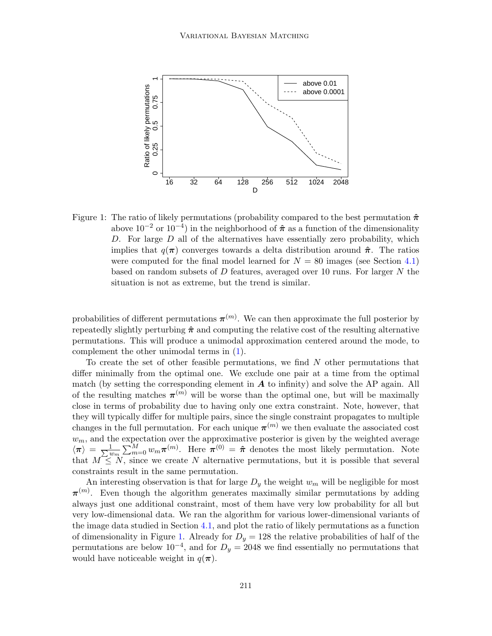

<span id="page-6-0"></span>Figure 1: The ratio of likely permutations (probability compared to the best permutation  $\hat{\pi}$ above  $10^{-2}$  or  $10^{-4}$ ) in the neighborhood of  $\hat{\pi}$  as a function of the dimensionality D. For large  $D$  all of the alternatives have essentially zero probability, which implies that  $q(\pi)$  converges towards a delta distribution around  $\hat{\pi}$ . The ratios were computed for the final model learned for  $N = 80$  images (see Section [4.1\)](#page-10-0) based on random subsets of D features, averaged over 10 runs. For larger N the situation is not as extreme, but the trend is similar.

probabilities of different permutations  $\pi^{(m)}$ . We can then approximate the full posterior by repeatedly slightly perturbing  $\hat{\pi}$  and computing the relative cost of the resulting alternative permutations. This will produce a unimodal approximation centered around the mode, to complement the other unimodal terms in [\(1\)](#page-3-0).

To create the set of other feasible permutations, we find  $N$  other permutations that differ minimally from the optimal one. We exclude one pair at a time from the optimal match (by setting the corresponding element in  $A$  to infinity) and solve the AP again. All of the resulting matches  $\pi^{(m)}$  will be worse than the optimal one, but will be maximally close in terms of probability due to having only one extra constraint. Note, however, that they will typically differ for multiple pairs, since the single constraint propagates to multiple changes in the full permutation. For each unique  $\pi^{(m)}$  we then evaluate the associated cost  $w_m$ , and the expectation over the approximative posterior is given by the weighted average  $\langle \pi \rangle \, = \, \frac{1}{\sum v}$  $\frac{1}{w_m}\sum_{m=0}^M w_m \pi^{(m)}$ . Here  $\pi^{(0)} = \hat{\pi}$  denotes the most likely permutation. Note that  $M \leq N$ , since we create N alternative permutations, but it is possible that several constraints result in the same permutation.

An interesting observation is that for large  $D_y$  the weight  $w_m$  will be negligible for most  $\pi^{(m)}$ . Even though the algorithm generates maximally similar permutations by adding always just one additional constraint, most of them have very low probability for all but very low-dimensional data. We ran the algorithm for various lower-dimensional variants of the image data studied in Section [4.1,](#page-10-0) and plot the ratio of likely permutations as a function of dimensionality in Figure [1.](#page-6-0) Already for  $D_y = 128$  the relative probabilities of half of the permutations are below  $10^{-4}$ , and for  $D_y = 2048$  we find essentially no permutations that would have noticeable weight in  $q(\pi)$ .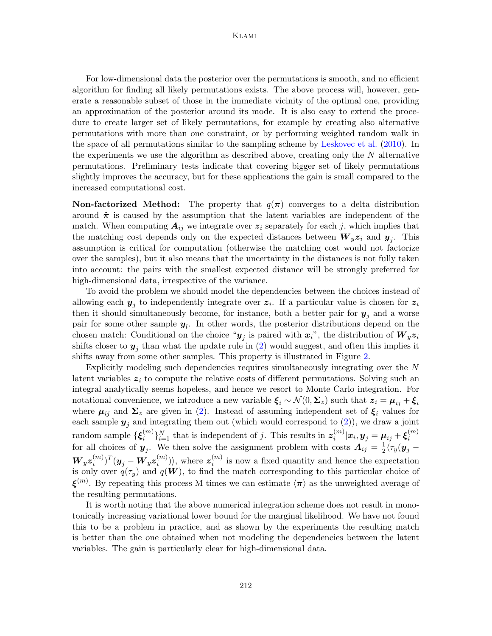For low-dimensional data the posterior over the permutations is smooth, and no efficient algorithm for finding all likely permutations exists. The above process will, however, generate a reasonable subset of those in the immediate vicinity of the optimal one, providing an approximation of the posterior around its mode. It is also easy to extend the procedure to create larger set of likely permutations, for example by creating also alternative permutations with more than one constraint, or by performing weighted random walk in the space of all permutations similar to the sampling scheme by [Leskovec et al.](#page-15-13) [\(2010\)](#page-15-13). In the experiments we use the algorithm as described above, creating only the  $N$  alternative permutations. Preliminary tests indicate that covering bigger set of likely permutations slightly improves the accuracy, but for these applications the gain is small compared to the increased computational cost.

**Non-factorized Method:** The property that  $q(\pi)$  converges to a delta distribution around  $\hat{\pi}$  is caused by the assumption that the latent variables are independent of the match. When computing  $A_{ij}$  we integrate over  $z_i$  separately for each j, which implies that the matching cost depends only on the expected distances between  $W_y z_i$  and  $y_j$ . This assumption is critical for computation (otherwise the matching cost would not factorize over the samples), but it also means that the uncertainty in the distances is not fully taken into account: the pairs with the smallest expected distance will be strongly preferred for high-dimensional data, irrespective of the variance.

To avoid the problem we should model the dependencies between the choices instead of allowing each  $y_j$  to independently integrate over  $z_i$ . If a particular value is chosen for  $z_i$ then it should simultaneously become, for instance, both a better pair for  $y_j$  and a worse pair for some other sample  $y_l$ . In other words, the posterior distributions depend on the chosen match: Conditional on the choice " $y_j$  is paired with  $x_i$ ", the distribution of  $W_yz_i$ shifts closer to  $y_j$  than what the update rule in [\(2\)](#page-4-0) would suggest, and often this implies it shifts away from some other samples. This property is illustrated in Figure [2.](#page-8-0)

Explicitly modeling such dependencies requires simultaneously integrating over the N latent variables  $z_i$  to compute the relative costs of different permutations. Solving such an integral analytically seems hopeless, and hence we resort to Monte Carlo integration. For notational convenience, we introduce a new variable  $\xi_i \sim \mathcal{N}(0, \Sigma_z)$  such that  $z_i = \mu_{ij} + \xi_i$ where  $\mu_{ij}$  and  $\Sigma_z$  are given in [\(2\)](#page-4-0). Instead of assuming independent set of  $\xi_i$  values for each sample  $y_j$  and integrating them out (which would correspond to [\(2\)](#page-4-0)), we draw a joint random sample  $\{\boldsymbol{\xi}_i^{(m)}\}$  $\{a^{(m)}\}_{i=1}^N$  that is independent of j. This results in  $z_i^{(m)}$  $\bm{x}_i^{(m)}|\bm{x}_i,\bm{y}_j=\bm{\mu}_{ij}+\bm{\xi}_i^{(m)}$ i for all choices of  $y_j$ . We then solve the assignment problem with costs  $A_{ij} = \frac{1}{2}$  $\frac{1}{2} \langle \tau_y({\bm{y}}_j \boldsymbol{W}_y\boldsymbol{z}_i^{(m)}$  $\boldsymbol{y}_i^{(m)})^T(\boldsymbol{y}_j - \boldsymbol{W}_y \boldsymbol{z}_i^{(m)})$  $\binom{m}{i}$ , where  $z_i^{(m)}$  $\binom{m}{i}$  is now a fixed quantity and hence the expectation is only over  $q(\tau_y)$  and  $q(\boldsymbol{W})$ , to find the match corresponding to this particular choice of  $\xi^{(m)}$ . By repeating this process M times we can estimate  $\langle \pi \rangle$  as the unweighted average of the resulting permutations.

It is worth noting that the above numerical integration scheme does not result in monotonically increasing variational lower bound for the marginal likelihood. We have not found this to be a problem in practice, and as shown by the experiments the resulting match is better than the one obtained when not modeling the dependencies between the latent variables. The gain is particularly clear for high-dimensional data.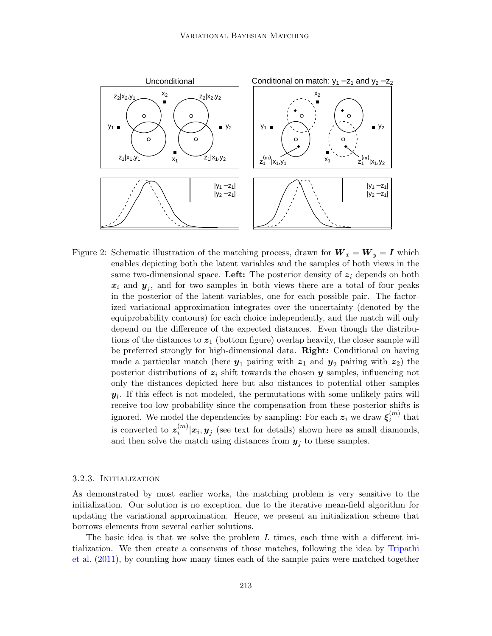

<span id="page-8-0"></span>Figure 2: Schematic illustration of the matching process, drawn for  $W_x = W_y = I$  which enables depicting both the latent variables and the samples of both views in the same two-dimensional space. Left: The posterior density of  $z_i$  depends on both  $x_i$  and  $y_j$ , and for two samples in both views there are a total of four peaks in the posterior of the latent variables, one for each possible pair. The factorized variational approximation integrates over the uncertainty (denoted by the equiprobability contours) for each choice independently, and the match will only depend on the difference of the expected distances. Even though the distributions of the distances to  $z_1$  (bottom figure) overlap heavily, the closer sample will be preferred strongly for high-dimensional data. Right: Conditional on having made a particular match (here  $y_1$  pairing with  $z_1$  and  $y_2$  pairing with  $z_2$ ) the posterior distributions of  $z_i$  shift towards the chosen y samples, influencing not only the distances depicted here but also distances to potential other samples  $y_l$ . If this effect is not modeled, the permutations with some unlikely pairs will receive too low probability since the compensation from these posterior shifts is ignored. We model the dependencies by sampling: For each  $\bm{z}_i$  we draw  $\bm{\xi}_i^{(m)}$  $i^{(m)}$  that is converted to  $z_i^{(m)}$  $\sum_{i=1}^{m} |x_i, y_j|$  (see text for details) shown here as small diamonds, and then solve the match using distances from  $y_j$  to these samples.

## 3.2.3. Initialization

As demonstrated by most earlier works, the matching problem is very sensitive to the initialization. Our solution is no exception, due to the iterative mean-field algorithm for updating the variational approximation. Hence, we present an initialization scheme that borrows elements from several earlier solutions.

The basic idea is that we solve the problem  $L$  times, each time with a different initialization. We then create a consensus of those matches, following the idea by [Tripathi](#page-15-5) [et al.](#page-15-5) [\(2011\)](#page-15-5), by counting how many times each of the sample pairs were matched together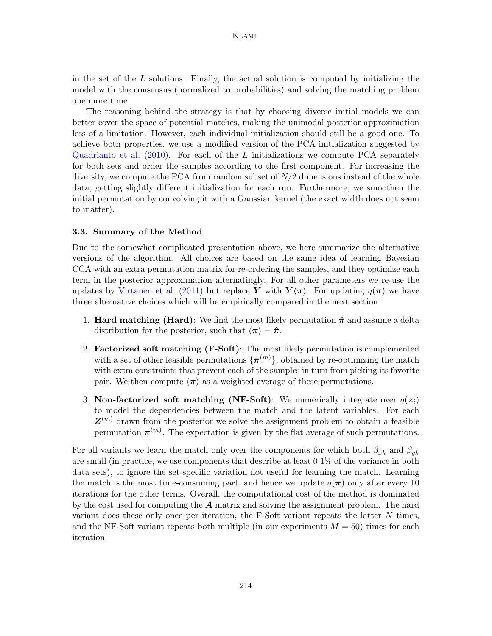in the set of the  $L$  solutions. Finally, the actual solution is computed by initializing the model with the consensus (normalized to probabilities) and solving the matching problem one more time.

The reasoning behind the strategy is that by choosing diverse initial models we can better cover the space of potential matches, making the unimodal posterior approximation less of a limitation. However, each individual initialization should still be a good one. To achieve both properties, we use a modified version of the PCA-initialization suggested by [Quadrianto et al.](#page-15-2)  $(2010)$ . For each of the L initializations we compute PCA separately for both sets and order the samples according to the first component. For increasing the diversity, we compute the PCA from random subset of  $N/2$  dimensions instead of the whole data, getting slightly different initialization for each run. Furthermore, we smoothen the initial permutation by convolving it with a Gaussian kernel (the exact width does not seem to matter).

## 3.3. Summary of the Method

Due to the somewhat complicated presentation above, we here summarize the alternative versions of the algorithm. All choices are based on the same idea of learning Bayesian CCA with an extra permutation matrix for re-ordering the samples, and they optimize each term in the posterior approximation alternatingly. For all other parameters we re-use the updates by [Virtanen et al.](#page-15-10) [\(2011\)](#page-15-10) but replace Y with  $Y\langle \pi \rangle$ . For updating  $q(\pi)$  we have three alternative choices which will be empirically compared in the next section:

- 1. **Hard matching (Hard)**: We find the most likely permutation  $\hat{\pi}$  and assume a delta distribution for the posterior, such that  $\langle \pi \rangle = \hat{\pi}$ .
- 2. Factorized soft matching (F-Soft): The most likely permutation is complemented with a set of other feasible permutations  $\{\boldsymbol{\pi}^{(m)}\}$ , obtained by re-optimizing the match with extra constraints that prevent each of the samples in turn from picking its favorite pair. We then compute  $\langle \pi \rangle$  as a weighted average of these permutations.
- 3. Non-factorized soft matching (NF-Soft): We numerically integrate over  $q(z_i)$ to model the dependencies between the match and the latent variables. For each  $\mathbf{Z}^{(m)}$  drawn from the posterior we solve the assignment problem to obtain a feasible permutation  $\pi^{(m)}$ . The expectation is given by the flat average of such permutations.

For all variants we learn the match only over the components for which both  $\beta_{x_k}$  and  $\beta_{y_k}$ are small (in practice, we use components that describe at least 0.1% of the variance in both data sets), to ignore the set-specific variation not useful for learning the match. Learning the match is the most time-consuming part, and hence we update  $q(\pi)$  only after every 10 iterations for the other terms. Overall, the computational cost of the method is dominated by the cost used for computing the  $A$  matrix and solving the assignment problem. The hard variant does these only once per iteration, the F-Soft variant repeats the latter  $N$  times, and the NF-Soft variant repeats both multiple (in our experiments  $M = 50$ ) times for each iteration.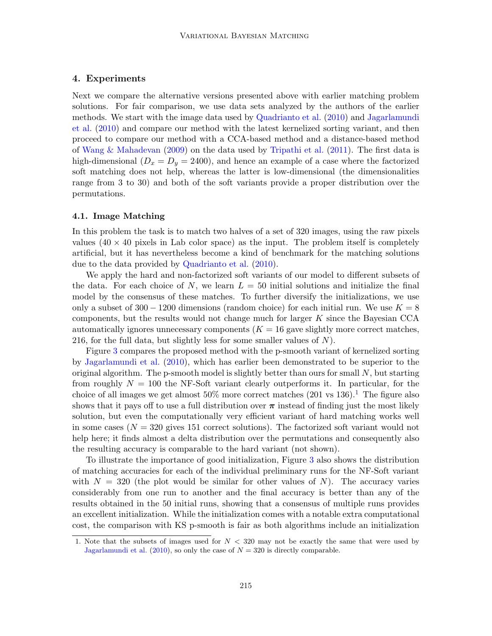# 4. Experiments

Next we compare the alternative versions presented above with earlier matching problem solutions. For fair comparison, we use data sets analyzed by the authors of the earlier methods. We start with the image data used by [Quadrianto et al.](#page-15-2) [\(2010\)](#page-15-2) and [Jagarlamundi](#page-15-1) [et al.](#page-15-1) [\(2010\)](#page-15-1) and compare our method with the latest kernelized sorting variant, and then proceed to compare our method with a CCA-based method and a distance-based method of [Wang & Mahadevan](#page-15-3) [\(2009\)](#page-15-3) on the data used by [Tripathi et al.](#page-15-5) [\(2011\)](#page-15-5). The first data is high-dimensional  $(D_x = D_y = 2400)$ , and hence an example of a case where the factorized soft matching does not help, whereas the latter is low-dimensional (the dimensionalities range from 3 to 30) and both of the soft variants provide a proper distribution over the permutations.

#### <span id="page-10-0"></span>4.1. Image Matching

In this problem the task is to match two halves of a set of 320 images, using the raw pixels values  $(40 \times 40$  pixels in Lab color space) as the input. The problem itself is completely artificial, but it has nevertheless become a kind of benchmark for the matching solutions due to the data provided by [Quadrianto et al.](#page-15-2) [\(2010\)](#page-15-2).

We apply the hard and non-factorized soft variants of our model to different subsets of the data. For each choice of N, we learn  $L = 50$  initial solutions and initialize the final model by the consensus of these matches. To further diversify the initializations, we use only a subset of  $300 - 1200$  dimensions (random choice) for each initial run. We use  $K = 8$ components, but the results would not change much for larger K since the Bayesian CCA automatically ignores unnecessary components  $(K = 16$  gave slightly more correct matches, 216, for the full data, but slightly less for some smaller values of  $N$ ).

Figure [3](#page-11-0) compares the proposed method with the p-smooth variant of kernelized sorting by [Jagarlamundi et al.](#page-15-1) [\(2010\)](#page-15-1), which has earlier been demonstrated to be superior to the original algorithm. The p-smooth model is slightly better than ours for small  $N$ , but starting from roughly  $N = 100$  the NF-Soft variant clearly outperforms it. In particular, for the choice of all images we get almost  $50\%$  more correct matches (20[1](#page-10-1) vs 136).<sup>1</sup> The figure also shows that it pays off to use a full distribution over  $\pi$  instead of finding just the most likely solution, but even the computationally very efficient variant of hard matching works well in some cases  $(N = 320$  gives 151 correct solutions). The factorized soft variant would not help here; it finds almost a delta distribution over the permutations and consequently also the resulting accuracy is comparable to the hard variant (not shown).

To illustrate the importance of good initialization, Figure [3](#page-11-0) also shows the distribution of matching accuracies for each of the individual preliminary runs for the NF-Soft variant with  $N = 320$  (the plot would be similar for other values of N). The accuracy varies considerably from one run to another and the final accuracy is better than any of the results obtained in the 50 initial runs, showing that a consensus of multiple runs provides an excellent initialization. While the initialization comes with a notable extra computational cost, the comparison with KS p-smooth is fair as both algorithms include an initialization

<span id="page-10-1"></span><sup>1.</sup> Note that the subsets of images used for  $N < 320$  may not be exactly the same that were used by [Jagarlamundi et al.](#page-15-1) [\(2010\)](#page-15-1), so only the case of  $N = 320$  is directly comparable.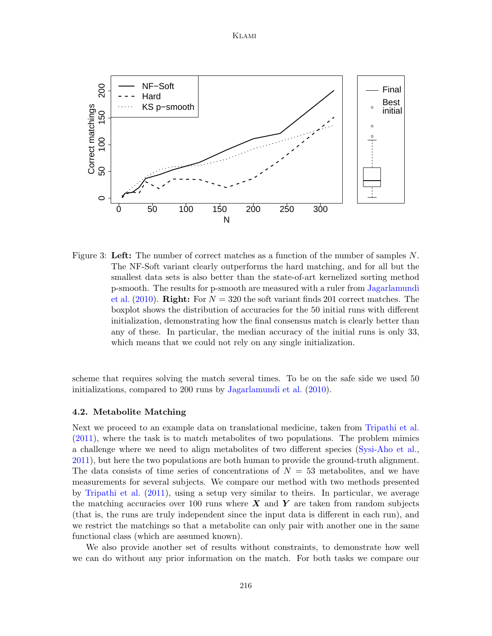## Klami



<span id="page-11-0"></span>Figure 3: Left: The number of correct matches as a function of the number of samples  $N$ . The NF-Soft variant clearly outperforms the hard matching, and for all but the smallest data sets is also better than the state-of-art kernelized sorting method p-smooth. The results for p-smooth are measured with a ruler from [Jagarlamundi](#page-15-1) [et al.](#page-15-1)  $(2010)$ . **Right:** For  $N = 320$  the soft variant finds 201 correct matches. The boxplot shows the distribution of accuracies for the 50 initial runs with different initialization, demonstrating how the final consensus match is clearly better than any of these. In particular, the median accuracy of the initial runs is only 33, which means that we could not rely on any single initialization.

scheme that requires solving the match several times. To be on the safe side we used 50 initializations, compared to 200 runs by [Jagarlamundi et al.](#page-15-1) [\(2010\)](#page-15-1).

#### 4.2. Metabolite Matching

Next we proceed to an example data on translational medicine, taken from [Tripathi et al.](#page-15-5) [\(2011\)](#page-15-5), where the task is to match metabolites of two populations. The problem mimics a challenge where we need to align metabolites of two different species [\(Sysi-Aho et al.,](#page-15-4) [2011\)](#page-15-4), but here the two populations are both human to provide the ground-truth alignment. The data consists of time series of concentrations of  $N = 53$  metabolites, and we have measurements for several subjects. We compare our method with two methods presented by [Tripathi et al.](#page-15-5) [\(2011\)](#page-15-5), using a setup very similar to theirs. In particular, we average the matching accuracies over 100 runs where  $\boldsymbol{X}$  and  $\boldsymbol{Y}$  are taken from random subjects (that is, the runs are truly independent since the input data is different in each run), and we restrict the matchings so that a metabolite can only pair with another one in the same functional class (which are assumed known).

We also provide another set of results without constraints, to demonstrate how well we can do without any prior information on the match. For both tasks we compare our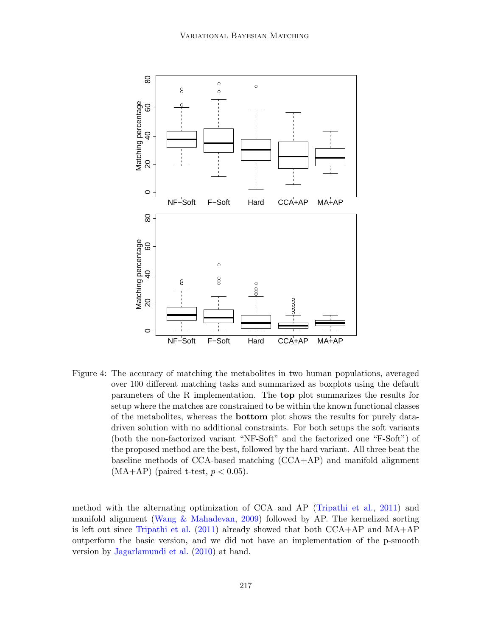

<span id="page-12-0"></span>Figure 4: The accuracy of matching the metabolites in two human populations, averaged over 100 different matching tasks and summarized as boxplots using the default parameters of the R implementation. The top plot summarizes the results for setup where the matches are constrained to be within the known functional classes of the metabolites, whereas the bottom plot shows the results for purely datadriven solution with no additional constraints. For both setups the soft variants (both the non-factorized variant "NF-Soft" and the factorized one "F-Soft") of the proposed method are the best, followed by the hard variant. All three beat the baseline methods of CCA-based matching (CCA+AP) and manifold alignment  $(MA+AP)$  (paired t-test,  $p < 0.05$ ).

method with the alternating optimization of CCA and AP [\(Tripathi et al.,](#page-15-5) [2011\)](#page-15-5) and manifold alignment [\(Wang & Mahadevan,](#page-15-3) [2009\)](#page-15-3) followed by AP. The kernelized sorting is left out since [Tripathi et al.](#page-15-5)  $(2011)$  already showed that both  $CCA+AP$  and  $MA+AP$ outperform the basic version, and we did not have an implementation of the p-smooth version by [Jagarlamundi et al.](#page-15-1) [\(2010\)](#page-15-1) at hand.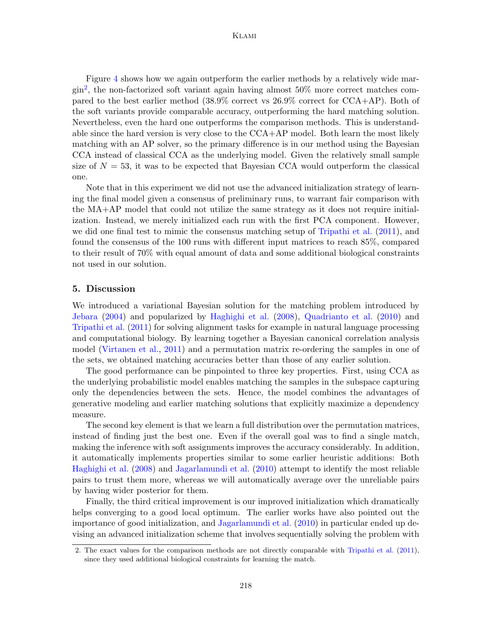## Klami

Figure [4](#page-12-0) shows how we again outperform the earlier methods by a relatively wide margin[2](#page-13-0) , the non-factorized soft variant again having almost 50% more correct matches compared to the best earlier method (38.9% correct vs 26.9% correct for CCA+AP). Both of the soft variants provide comparable accuracy, outperforming the hard matching solution. Nevertheless, even the hard one outperforms the comparison methods. This is understandable since the hard version is very close to the CCA+AP model. Both learn the most likely matching with an AP solver, so the primary difference is in our method using the Bayesian CCA instead of classical CCA as the underlying model. Given the relatively small sample size of  $N = 53$ , it was to be expected that Bayesian CCA would outperform the classical one.

Note that in this experiment we did not use the advanced initialization strategy of learning the final model given a consensus of preliminary runs, to warrant fair comparison with the MA+AP model that could not utilize the same strategy as it does not require initialization. Instead, we merely initialized each run with the first PCA component. However, we did one final test to mimic the consensus matching setup of [Tripathi et al.](#page-15-5) [\(2011\)](#page-15-5), and found the consensus of the 100 runs with different input matrices to reach 85%, compared to their result of 70% with equal amount of data and some additional biological constraints not used in our solution.

# 5. Discussion

We introduced a variational Bayesian solution for the matching problem introduced by [Jebara](#page-15-7) [\(2004\)](#page-15-7) and popularized by [Haghighi et al.](#page-14-0) [\(2008\)](#page-14-0), [Quadrianto et al.](#page-15-2) [\(2010\)](#page-15-2) and [Tripathi et al.](#page-15-5) [\(2011\)](#page-15-5) for solving alignment tasks for example in natural language processing and computational biology. By learning together a Bayesian canonical correlation analysis model [\(Virtanen et al.,](#page-15-10) [2011\)](#page-15-10) and a permutation matrix re-ordering the samples in one of the sets, we obtained matching accuracies better than those of any earlier solution.

The good performance can be pinpointed to three key properties. First, using CCA as the underlying probabilistic model enables matching the samples in the subspace capturing only the dependencies between the sets. Hence, the model combines the advantages of generative modeling and earlier matching solutions that explicitly maximize a dependency measure.

The second key element is that we learn a full distribution over the permutation matrices, instead of finding just the best one. Even if the overall goal was to find a single match, making the inference with soft assignments improves the accuracy considerably. In addition, it automatically implements properties similar to some earlier heuristic additions: Both [Haghighi et al.](#page-14-0) [\(2008\)](#page-14-0) and [Jagarlamundi et al.](#page-15-1) [\(2010\)](#page-15-1) attempt to identify the most reliable pairs to trust them more, whereas we will automatically average over the unreliable pairs by having wider posterior for them.

Finally, the third critical improvement is our improved initialization which dramatically helps converging to a good local optimum. The earlier works have also pointed out the importance of good initialization, and [Jagarlamundi et al.](#page-15-1) [\(2010\)](#page-15-1) in particular ended up devising an advanced initialization scheme that involves sequentially solving the problem with

<span id="page-13-0"></span><sup>2.</sup> The exact values for the comparison methods are not directly comparable with [Tripathi et al.](#page-15-5) [\(2011\)](#page-15-5), since they used additional biological constraints for learning the match.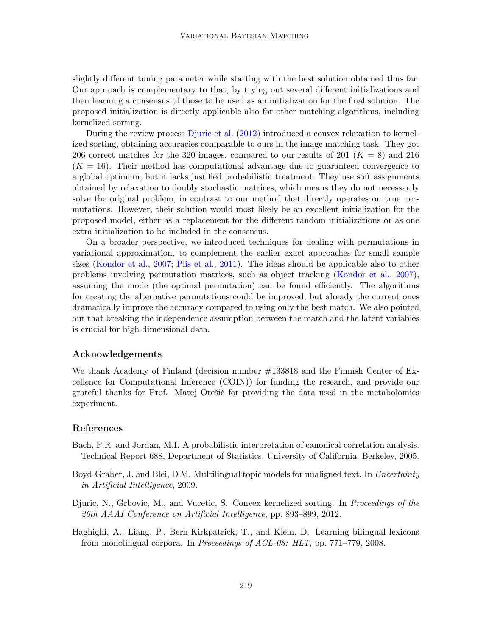slightly different tuning parameter while starting with the best solution obtained thus far. Our approach is complementary to that, by trying out several different initializations and then learning a consensus of those to be used as an initialization for the final solution. The proposed initialization is directly applicable also for other matching algorithms, including kernelized sorting.

During the review process [Djuric et al.](#page-14-3) [\(2012\)](#page-14-3) introduced a convex relaxation to kernelized sorting, obtaining accuracies comparable to ours in the image matching task. They got 206 correct matches for the 320 images, compared to our results of 201 ( $K = 8$ ) and 216  $(K = 16)$ . Their method has computational advantage due to guaranteed convergence to a global optimum, but it lacks justified probabilistic treatment. They use soft assignments obtained by relaxation to doubly stochastic matrices, which means they do not necessarily solve the original problem, in contrast to our method that directly operates on true permutations. However, their solution would most likely be an excellent initialization for the proposed model, either as a replacement for the different random initializations or as one extra initialization to be included in the consensus.

On a broader perspective, we introduced techniques for dealing with permutations in variational approximation, to complement the earlier exact approaches for small sample sizes [\(Kondor et al.,](#page-15-11) [2007;](#page-15-11) [Plis et al.,](#page-15-12) [2011\)](#page-15-12). The ideas should be applicable also to other problems involving permutation matrices, such as object tracking [\(Kondor et al.,](#page-15-11) [2007\)](#page-15-11), assuming the mode (the optimal permutation) can be found efficiently. The algorithms for creating the alternative permutations could be improved, but already the current ones dramatically improve the accuracy compared to using only the best match. We also pointed out that breaking the independence assumption between the match and the latent variables is crucial for high-dimensional data.

# Acknowledgements

We thank Academy of Finland (decision number #133818 and the Finnish Center of Excellence for Computational Inference (COIN)) for funding the research, and provide our grateful thanks for Prof. Matej Orešič for providing the data used in the metabolomics experiment.

# References

- <span id="page-14-2"></span>Bach, F.R. and Jordan, M.I. A probabilistic interpretation of canonical correlation analysis. Technical Report 688, Department of Statistics, University of California, Berkeley, 2005.
- <span id="page-14-1"></span>Boyd-Graber, J. and Blei, D.M. Multilingual topic models for unaligned text. In Uncertainty in Artificial Intelligence, 2009.
- <span id="page-14-3"></span>Djuric, N., Grbovic, M., and Vucetic, S. Convex kernelized sorting. In *Proceedings of the* 26th AAAI Conference on Artificial Intelligence, pp. 893–899, 2012.
- <span id="page-14-0"></span>Haghighi, A., Liang, P., Berh-Kirkpatrick, T., and Klein, D. Learning bilingual lexicons from monolingual corpora. In Proceedings of ACL-08: HLT, pp. 771–779, 2008.